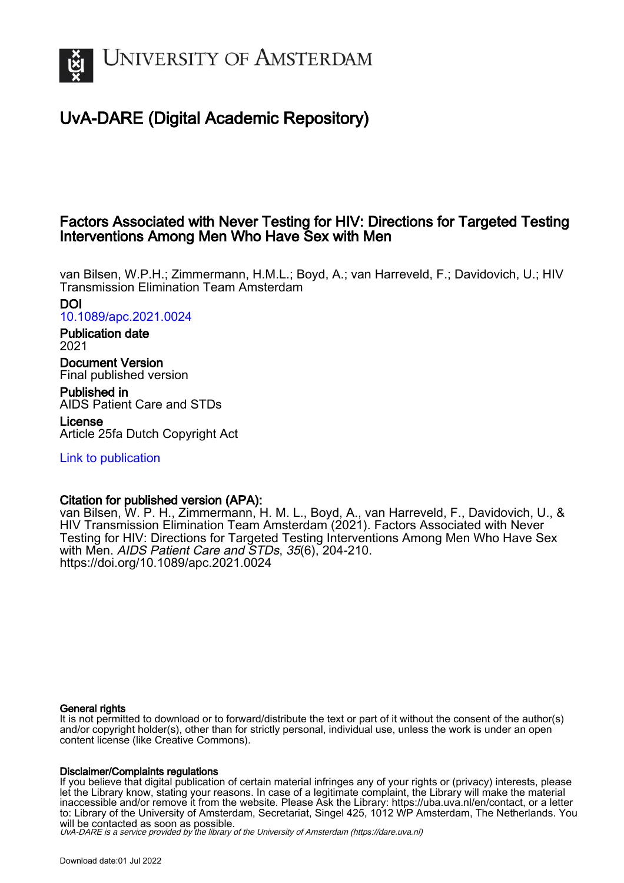

# UvA-DARE (Digital Academic Repository)

## Factors Associated with Never Testing for HIV: Directions for Targeted Testing Interventions Among Men Who Have Sex with Men

van Bilsen, W.P.H.; Zimmermann, H.M.L.; Boyd, A.; van Harreveld, F.; Davidovich, U.; HIV Transmission Elimination Team Amsterdam

DOI [10.1089/apc.2021.0024](https://doi.org/10.1089/apc.2021.0024)

Publication date 2021

Document Version Final published version

Published in AIDS Patient Care and STDs License

Article 25fa Dutch Copyright Act

[Link to publication](https://dare.uva.nl/personal/pure/en/publications/factors-associated-with-never-testing-for-hiv-directions-for-targeted-testing-interventions-among-men-who-have-sex-with-men(3135e7d1-fe88-4e4d-8ef6-9c6348a3d730).html)

## Citation for published version (APA):

van Bilsen, W. P. H., Zimmermann, H. M. L., Boyd, A., van Harreveld, F., Davidovich, U., & HIV Transmission Elimination Team Amsterdam (2021). Factors Associated with Never Testing for HIV: Directions for Targeted Testing Interventions Among Men Who Have Sex with Men. AIDS Patient Care and STDs, 35(6), 204-210. <https://doi.org/10.1089/apc.2021.0024>

### General rights

It is not permitted to download or to forward/distribute the text or part of it without the consent of the author(s) and/or copyright holder(s), other than for strictly personal, individual use, unless the work is under an open content license (like Creative Commons).

### Disclaimer/Complaints regulations

If you believe that digital publication of certain material infringes any of your rights or (privacy) interests, please let the Library know, stating your reasons. In case of a legitimate complaint, the Library will make the material inaccessible and/or remove it from the website. Please Ask the Library: https://uba.uva.nl/en/contact, or a letter to: Library of the University of Amsterdam, Secretariat, Singel 425, 1012 WP Amsterdam, The Netherlands. You will be contacted as soon as possible.

UvA-DARE is a service provided by the library of the University of Amsterdam (http*s*://dare.uva.nl)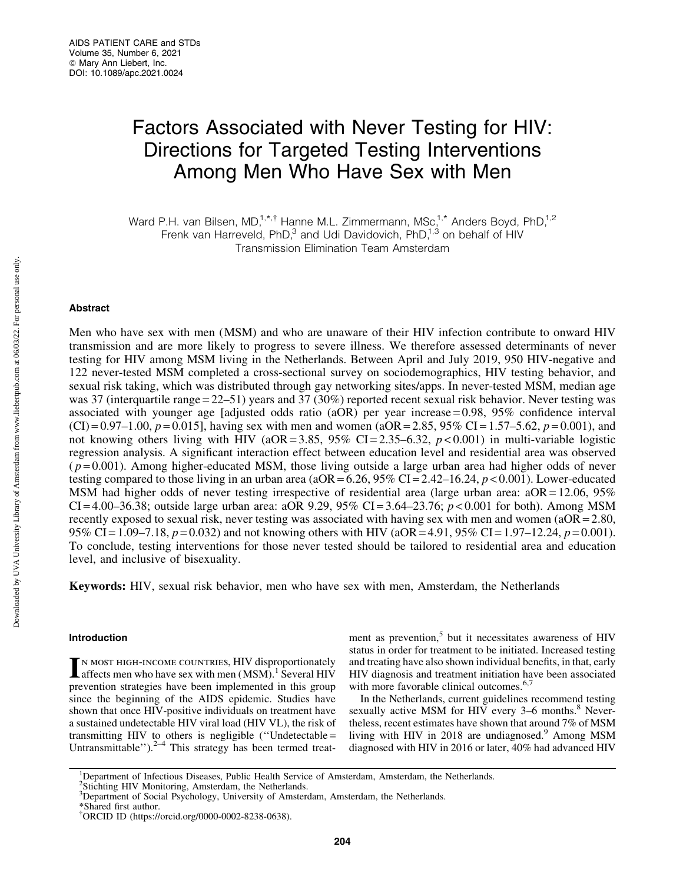# Factors Associated with Never Testing for HIV: Directions for Targeted Testing Interventions Among Men Who Have Sex with Men

Ward P.H. van Bilsen, MD,<sup>1,\*,†</sup> Hanne M.L. Zimmermann, MSc,<sup>1,\*</sup> Anders Boyd, PhD,<sup>1,2</sup> Frenk van Harreveld, PhD,<sup>3</sup> and Udi Davidovich, PhD,<sup>1,3</sup> on behalf of HIV Transmission Elimination Team Amsterdam

#### Abstract

Men who have sex with men (MSM) and who are unaware of their HIV infection contribute to onward HIV transmission and are more likely to progress to severe illness. We therefore assessed determinants of never testing for HIV among MSM living in the Netherlands. Between April and July 2019, 950 HIV-negative and 122 never-tested MSM completed a cross-sectional survey on sociodemographics, HIV testing behavior, and sexual risk taking, which was distributed through gay networking sites/apps. In never-tested MSM, median age was 37 (interquartile range = 22–51) years and 37 (30%) reported recent sexual risk behavior. Never testing was associated with younger age [adjusted odds ratio (aOR) per year increase = 0.98, 95% confidence interval  $(CI) = 0.97-1.00, p = 0.015$ , having sex with men and women (aOR = 2.85, 95% CI = 1.57–5.62,  $p = 0.001$ ), and not knowing others living with HIV ( $aOR = 3.85$ ,  $95\%$  CI = 2.35–6.32,  $p < 0.001$ ) in multi-variable logistic regression analysis. A significant interaction effect between education level and residential area was observed  $(p=0.001)$ . Among higher-educated MSM, those living outside a large urban area had higher odds of never testing compared to those living in an urban area ( $aOR = 6.26$ ,  $95\%$  CI = 2.42–16.24,  $p < 0.001$ ). Lower-educated MSM had higher odds of never testing irrespective of residential area (large urban area:  $aOR = 12.06$ , 95% CI = 4.00–36.38; outside large urban area: aOR 9.29, 95% CI = 3.64–23.76; *p* < 0.001 for both). Among MSM recently exposed to sexual risk, never testing was associated with having sex with men and women (aOR = 2.80, 95% CI = 1.09–7.18,  $p = 0.032$ ) and not knowing others with HIV (aOR = 4.91, 95% CI = 1.97–12.24,  $p = 0.001$ ). To conclude, testing interventions for those never tested should be tailored to residential area and education level, and inclusive of bisexuality.

Keywords: HIV, sexual risk behavior, men who have sex with men, Amsterdam, the Netherlands

#### Introduction

IN MOST HIGH-INCOME COUNTRIES, HIV disproportionately<br>
affects men who have sex with men (MSM).<sup>1</sup> Several HIV prevention strategies have been implemented in this group since the beginning of the AIDS epidemic. Studies have shown that once HIV-positive individuals on treatment have a sustained undetectable HIV viral load (HIV VL), the risk of transmitting HIV to others is negligible (''Undetectable = Untransmittable''). $2-4$  This strategy has been termed treatment as prevention, $5$  but it necessitates awareness of HIV status in order for treatment to be initiated. Increased testing and treating have also shown individual benefits, in that, early HIV diagnosis and treatment initiation have been associated with more favorable clinical outcomes.<sup>6,7</sup>

In the Netherlands, current guidelines recommend testing sexually active MSM for HIV every 3-6 months.<sup>8</sup> Nevertheless, recent estimates have shown that around 7% of MSM living with HIV in 2018 are undiagnosed.<sup>9</sup> Among MSM diagnosed with HIV in 2016 or later, 40% had advanced HIV

<sup>&</sup>lt;sup>1</sup>Department of Infectious Diseases, Public Health Service of Amsterdam, Amsterdam, the Netherlands.

<sup>&</sup>lt;sup>2</sup>Stichting HIV Monitoring, Amsterdam, the Netherlands.

<sup>&</sup>lt;sup>3</sup>Department of Social Psychology, University of Amsterdam, Amsterdam, the Netherlands.

<sup>\*</sup>Shared first author.

<sup>{</sup> ORCID ID [\(https://orcid.org/0000-0002-8238-0638\)](https://orcid.org/0000-0002-8238-0638).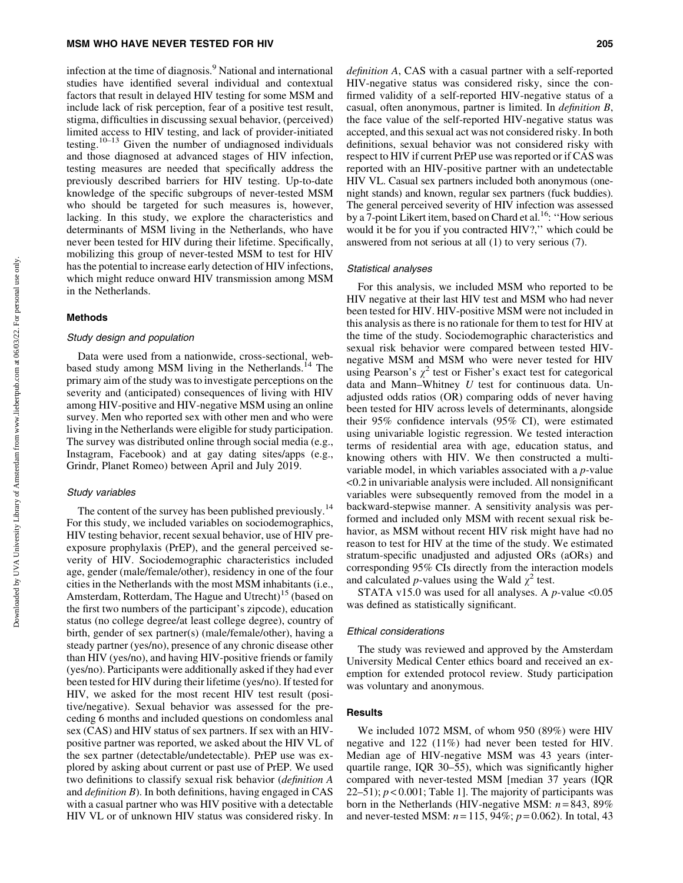#### MSM WHO HAVE NEVER TESTED FOR HIV 205

infection at the time of diagnosis.<sup>9</sup> National and international studies have identified several individual and contextual factors that result in delayed HIV testing for some MSM and include lack of risk perception, fear of a positive test result, stigma, difficulties in discussing sexual behavior, (perceived) limited access to HIV testing, and lack of provider-initiated testing.<sup>10–13</sup> Given the number of undiagnosed individuals and those diagnosed at advanced stages of HIV infection, testing measures are needed that specifically address the previously described barriers for HIV testing. Up-to-date knowledge of the specific subgroups of never-tested MSM who should be targeted for such measures is, however, lacking. In this study, we explore the characteristics and determinants of MSM living in the Netherlands, who have never been tested for HIV during their lifetime. Specifically, mobilizing this group of never-tested MSM to test for HIV has the potential to increase early detection of HIV infections, which might reduce onward HIV transmission among MSM in the Netherlands.

#### Methods

#### Study design and population

Data were used from a nationwide, cross-sectional, webbased study among MSM living in the Netherlands.<sup>14</sup> The primary aim of the study was to investigate perceptions on the severity and (anticipated) consequences of living with HIV among HIV-positive and HIV-negative MSM using an online survey. Men who reported sex with other men and who were living in the Netherlands were eligible for study participation. The survey was distributed online through social media (e.g., Instagram, Facebook) and at gay dating sites/apps (e.g., Grindr, Planet Romeo) between April and July 2019.

#### Study variables

The content of the survey has been published previously.<sup>14</sup> For this study, we included variables on sociodemographics, HIV testing behavior, recent sexual behavior, use of HIV preexposure prophylaxis (PrEP), and the general perceived severity of HIV. Sociodemographic characteristics included age, gender (male/female/other), residency in one of the four cities in the Netherlands with the most MSM inhabitants (i.e., Amsterdam, Rotterdam, The Hague and Utrecht)<sup>15</sup> (based on the first two numbers of the participant's zipcode), education status (no college degree/at least college degree), country of birth, gender of sex partner(s) (male/female/other), having a steady partner (yes/no), presence of any chronic disease other than HIV (yes/no), and having HIV-positive friends or family (yes/no). Participants were additionally asked if they had ever been tested for HIV during their lifetime (yes/no). If tested for HIV, we asked for the most recent HIV test result (positive/negative). Sexual behavior was assessed for the preceding 6 months and included questions on condomless anal sex (CAS) and HIV status of sex partners. If sex with an HIVpositive partner was reported, we asked about the HIV VL of the sex partner (detectable/undetectable). PrEP use was explored by asking about current or past use of PrEP. We used two definitions to classify sexual risk behavior (*definition A* and *definition B*). In both definitions, having engaged in CAS with a casual partner who was HIV positive with a detectable HIV VL or of unknown HIV status was considered risky. In

*definition A*, CAS with a casual partner with a self-reported HIV-negative status was considered risky, since the confirmed validity of a self-reported HIV-negative status of a casual, often anonymous, partner is limited. In *definition B*, the face value of the self-reported HIV-negative status was accepted, and this sexual act was not considered risky. In both definitions, sexual behavior was not considered risky with respect to HIV if current PrEP use was reported or if CAS was reported with an HIV-positive partner with an undetectable HIV VL. Casual sex partners included both anonymous (onenight stands) and known, regular sex partners (fuck buddies). The general perceived severity of HIV infection was assessed by a 7-point Likert item, based on Chard et al.<sup>16</sup>: "How serious would it be for you if you contracted HIV?," which could be answered from not serious at all (1) to very serious (7).

#### Statistical analyses

For this analysis, we included MSM who reported to be HIV negative at their last HIV test and MSM who had never been tested for HIV. HIV-positive MSM were not included in this analysis as there is no rationale for them to test for HIV at the time of the study. Sociodemographic characteristics and sexual risk behavior were compared between tested HIVnegative MSM and MSM who were never tested for HIV using Pearson's  $\chi^2$  test or Fisher's exact test for categorical data and Mann–Whitney *U* test for continuous data. Unadjusted odds ratios (OR) comparing odds of never having been tested for HIV across levels of determinants, alongside their 95% confidence intervals (95% CI), were estimated using univariable logistic regression. We tested interaction terms of residential area with age, education status, and knowing others with HIV. We then constructed a multivariable model, in which variables associated with a *p-*value <0.2 in univariable analysis were included. All nonsignificant variables were subsequently removed from the model in a backward-stepwise manner. A sensitivity analysis was performed and included only MSM with recent sexual risk behavior, as MSM without recent HIV risk might have had no reason to test for HIV at the time of the study. We estimated stratum-specific unadjusted and adjusted ORs (aORs) and corresponding 95% CIs directly from the interaction models and calculated *p*-values using the Wald  $\chi^2$  test.

STATA v15.0 was used for all analyses. A *p-*value <0.05 was defined as statistically significant.

#### Ethical considerations

The study was reviewed and approved by the Amsterdam University Medical Center ethics board and received an exemption for extended protocol review. Study participation was voluntary and anonymous.

#### **Results**

We included 1072 MSM, of whom 950 (89%) were HIV negative and 122 (11%) had never been tested for HIV. Median age of HIV-negative MSM was 43 years (interquartile range, IQR 30–55), which was significantly higher compared with never-tested MSM [median 37 years (IQR 22–51);  $p < 0.001$ ; Table 1]. The majority of participants was born in the Netherlands (HIV-negative MSM: *n* = 843, 89% and never-tested MSM: *n* = 115, 94%; *p* = 0.062). In total, 43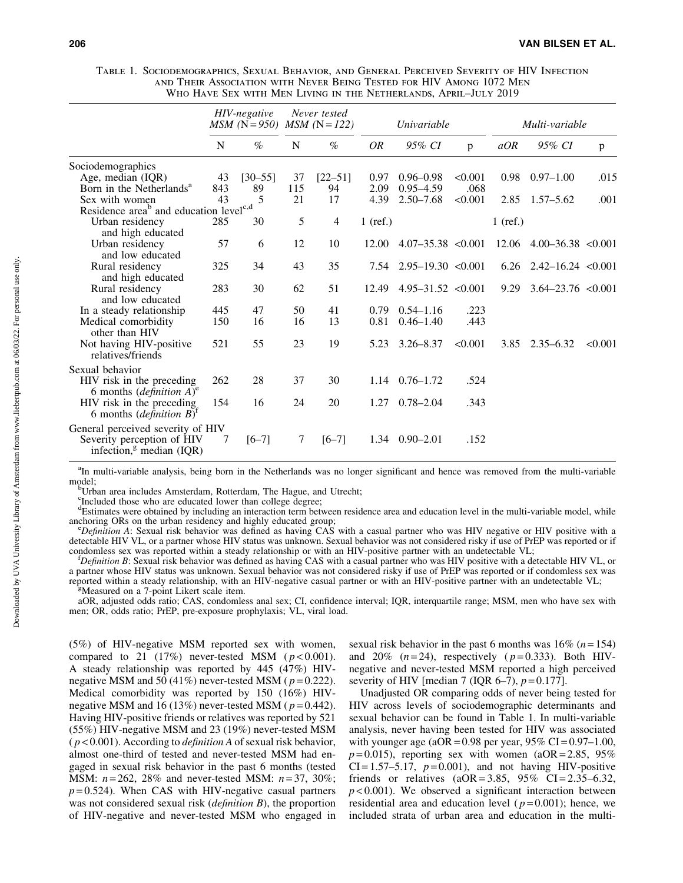| TABLE 1. SOCIODEMOGRAPHICS, SEXUAL BEHAVIOR, AND GENERAL PERCEIVED SEVERITY OF HIV INFECTION |  |
|----------------------------------------------------------------------------------------------|--|
| AND THEIR ASSOCIATION WITH NEVER BEING TESTED FOR HIV AMONG 1072 MEN                         |  |
| WHO HAVE SEX WITH MEN LIVING IN THE NETHERLANDS, APRIL-JULY 2019                             |  |

|                                                                                                                                                |     | HIV-negative<br>$MSM$ (N = 950) MSM (N = 122) |     | Never tested   |            | <i>Univariable</i>       |         |            | Multi-variable           |         |
|------------------------------------------------------------------------------------------------------------------------------------------------|-----|-----------------------------------------------|-----|----------------|------------|--------------------------|---------|------------|--------------------------|---------|
|                                                                                                                                                | N   | $\%$                                          | N   | $\%$           | <b>OR</b>  | 95% CI                   | p       | aOR        | 95% CI                   | p       |
| Sociodemographics                                                                                                                              |     |                                               |     |                |            |                          |         |            |                          |         |
| Age, median (IQR)                                                                                                                              | 43  | $[30 - 55]$                                   | 37  | $[22 - 51]$    | 0.97       | $0.96 - 0.98$            | < 0.001 | 0.98       | $0.97 - 1.00$            | .015    |
| Born in the Netherlands <sup>a</sup>                                                                                                           | 843 | 89                                            | 115 | 94             | 2.09       | $0.95 - 4.59$            | .068    |            |                          |         |
| Sex with women                                                                                                                                 | 43  | 5                                             | 21  | 17             | 4.39       | $2.50 - 7.68$            | < 0.001 | 2.85       | $1.57 - 5.62$            | .001    |
| Residence area <sup>b</sup> and education level <sup>c,d</sup>                                                                                 |     |                                               |     |                |            |                          |         |            |                          |         |
| Urban residency<br>and high educated                                                                                                           | 285 | 30                                            | 5   | $\overline{4}$ | $1$ (ref.) |                          |         | $1$ (ref.) |                          |         |
| Urban residency<br>and low educated                                                                                                            | 57  | 6                                             | 12  | 10             | 12.00      | $4.07 - 35.38 < 0.001$   |         | 12.06      | $4.00 - 36.38 < 0.001$   |         |
| Rural residency<br>and high educated                                                                                                           | 325 | 34                                            | 43  | 35             | 7.54       | $2.95 - 19.30 \le 0.001$ |         | 6.26       | $2.42 - 16.24 \le 0.001$ |         |
| Rural residency<br>and low educated                                                                                                            | 283 | 30                                            | 62  | 51             | 12.49      | $4.95 - 31.52 \le 0.001$ |         | 9.29       | $3.64 - 23.76 \le 0.001$ |         |
| In a steady relationship                                                                                                                       | 445 | 47                                            | 50  | 41             | 0.79       | $0.54 - 1.16$            | .223    |            |                          |         |
| Medical comorbidity<br>other than HIV                                                                                                          | 150 | 16                                            | 16  | 13             | 0.81       | $0.46 - 1.40$            | .443    |            |                          |         |
| Not having HIV-positive<br>relatives/friends                                                                                                   | 521 | 55                                            | 23  | 19             | 5.23       | $3.26 - 8.37$            | < 0.001 | 3.85       | $2.35 - 6.32$            | < 0.001 |
| Sexual behavior<br>HIV risk in the preceding                                                                                                   | 262 | 28                                            | 37  | 30             | 1.14       | $0.76 - 1.72$            | .524    |            |                          |         |
| 6 months ( <i>definition</i> $A$ ) <sup>e</sup><br>HIV risk in the preceding<br>6 months ( <i>definition B</i> ) <sup><math>\cdot</math></sup> | 154 | 16                                            | 24  | 20             | 1.27       | $0.78 - 2.04$            | .343    |            |                          |         |
| General perceived severity of HIV<br>Severity perception of HIV<br>infection, $g$ median (IQR)                                                 | 7   | $[6 - 7]$                                     | 7   | $[6 - 7]$      | 1.34       | $0.90 - 2.01$            | .152    |            |                          |         |

<sup>a</sup>In multi-variable analysis, being born in the Netherlands was no longer significant and hence was removed from the multi-variable model:

<sup>b</sup>Urban area includes Amsterdam, Rotterdam, The Hague, and Utrecht;

<sup>c</sup>Included those who are educated lower than college degree;

d Estimates were obtained by including an interaction term between residence area and education level in the multi-variable model, while anchoring ORs on the urban residency and highly educated group;

*Definition A*: Sexual risk behavior was defined as having CAS with a casual partner who was HIV negative or HIV positive with a detectable HIV VL, or a partner whose HIV status was unknown. Sexual behavior was not considered risky if use of PrEP was reported or if condomless sex was reported within a steady relationship or with an HIV-positive partner with an undetectable VL;

*Definition B*: Sexual risk behavior was defined as having CAS with a casual partner who was HIV positive with a detectable HIV VL, or a partner whose HIV status was unknown. Sexual behavior was not considered risky if use of PrEP was reported or if condomless sex was reported within a steady relationship, with an HIV-negative casual partner or with an HIV-positive partner with an undetectable VL;

Measured on a 7-point Likert scale item.

aOR, adjusted odds ratio; CAS, condomless anal sex; CI, confidence interval; IQR, interquartile range; MSM, men who have sex with men; OR, odds ratio; PrEP, pre-exposure prophylaxis; VL, viral load.

(5%) of HIV-negative MSM reported sex with women, compared to 21  $(17%)$  never-tested MSM  $(p < 0.001)$ . A steady relationship was reported by 445 (47%) HIVnegative MSM and 50 (41%) never-tested MSM ( $p = 0.222$ ). Medical comorbidity was reported by 150 (16%) HIVnegative MSM and 16 (13%) never-tested MSM ( $p = 0.442$ ). Having HIV-positive friends or relatives was reported by 521 (55%) HIV-negative MSM and 23 (19%) never-tested MSM ( *p* < 0.001). According to *definition A* of sexual risk behavior, almost one-third of tested and never-tested MSM had engaged in sexual risk behavior in the past 6 months (tested MSM: *n* = 262, 28% and never-tested MSM: *n* = 37, 30%;  $p = 0.524$ ). When CAS with HIV-negative casual partners was not considered sexual risk (*definition B*), the proportion of HIV-negative and never-tested MSM who engaged in sexual risk behavior in the past 6 months was  $16\%$  ( $n = 154$ ) and  $20\%$   $(n=24)$ , respectively  $(p=0.333)$ . Both HIVnegative and never-tested MSM reported a high perceived severity of HIV [median 7 (IQR 6–7),  $p = 0.177$ ].

Unadjusted OR comparing odds of never being tested for HIV across levels of sociodemographic determinants and sexual behavior can be found in Table 1. In multi-variable analysis, never having been tested for HIV was associated with younger age ( $aOR = 0.98$  per year,  $95\%$  CI = 0.97–1.00,  $p = 0.015$ ), reporting sex with women (aOR = 2.85, 95%)  $CI = 1.57-5.17$ ,  $p = 0.001$ ), and not having HIV-positive friends or relatives  $(aOR = 3.85, 95\% \text{ CI} = 2.35 - 6.32,$  $p$  < 0.001). We observed a significant interaction between residential area and education level ( $p = 0.001$ ); hence, we included strata of urban area and education in the multi-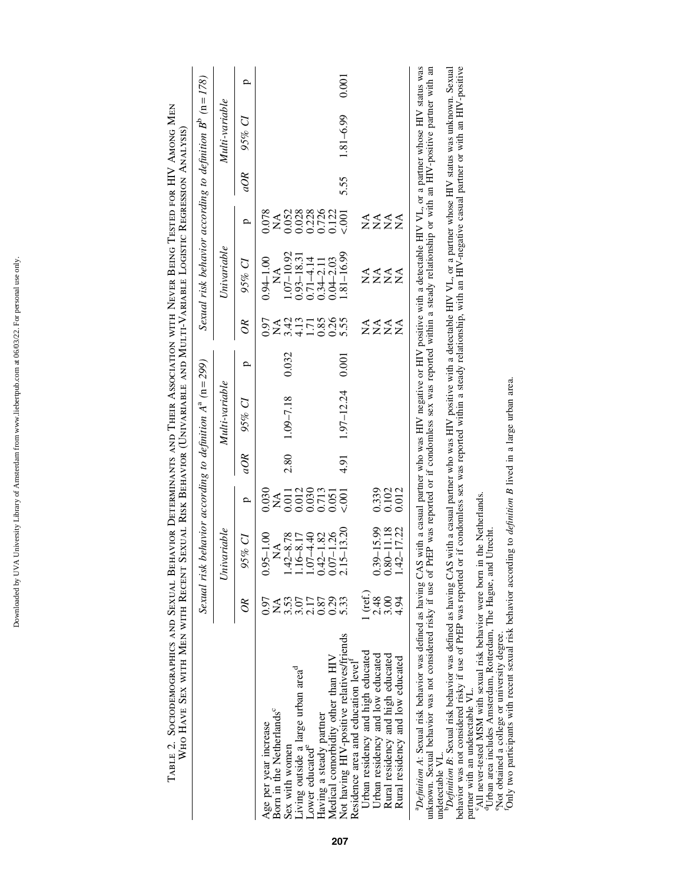|                                                                                                                                                                                                                                                                                                                                                                                         |        | Sexual risk behavior according to definition $A^a$ ( $n = 299$ ) |                                  |      |                  |       |                                  | Sexual risk behavior according to definition $B^b$ ( $n = 178$ ) |                                              |      |                |       |
|-----------------------------------------------------------------------------------------------------------------------------------------------------------------------------------------------------------------------------------------------------------------------------------------------------------------------------------------------------------------------------------------|--------|------------------------------------------------------------------|----------------------------------|------|------------------|-------|----------------------------------|------------------------------------------------------------------|----------------------------------------------|------|----------------|-------|
|                                                                                                                                                                                                                                                                                                                                                                                         |        | Univariable                                                      |                                  |      | Multi-variable   |       |                                  | Univariable                                                      |                                              |      | Multi-variable |       |
|                                                                                                                                                                                                                                                                                                                                                                                         | $\Im$  | 95% CI                                                           | ρ                                | aOR  | 95% CI           | ₽     | $\delta$                         | 95% CI                                                           | ρ                                            | aOR  | 95% CI         | p     |
| Born in the Netherlands <sup>c</sup><br>Age per year increase                                                                                                                                                                                                                                                                                                                           | 0.97   | $0.95 - 1.00$<br>$\mathbb{A}^{\mathcal{A}}$                      | $0.030$<br>NA                    |      |                  |       | 0.97                             | $0.94 - 1.00$<br>$\stackrel{\triangle}{\approx}$                 | 0.078<br>$\lessapprox$                       |      |                |       |
| Sex with women                                                                                                                                                                                                                                                                                                                                                                          |        | $1.42 - 8.78$                                                    |                                  |      | $2.80$ 1.09-7.18 | 0.032 | <b>A415585</b><br><b>A415585</b> | $1.07 - 10.92$                                                   |                                              |      |                |       |
| Living outside a large urban area <sup>d</sup>                                                                                                                                                                                                                                                                                                                                          |        | $1.16 - 8.17$                                                    | 0.011<br>0.012<br>0.030<br>0.713 |      |                  |       |                                  | $0.93 - 18.31$<br>$0.71 - 4.14$                                  | 0.0528<br>0.0288<br>0.0725<br>0.122<br>0.122 |      |                |       |
| Lower educated <sup>e</sup>                                                                                                                                                                                                                                                                                                                                                             | 2.17   | $1.07 - 4.40$                                                    |                                  |      |                  |       |                                  |                                                                  |                                              |      |                |       |
| Having a steady partner                                                                                                                                                                                                                                                                                                                                                                 | 0.87   | $0.42 - 1.82$                                                    |                                  |      |                  |       |                                  | $0.34 - 2.11$                                                    |                                              |      |                |       |
| Medical comorbidity other than HIV                                                                                                                                                                                                                                                                                                                                                      | 0.29   | $0.07 - 1.26$                                                    | 0.051                            |      |                  |       |                                  | $0.04 - 2.03$                                                    |                                              |      |                |       |
| Not having HIV-positive relatives/friends<br>Residence area and education level                                                                                                                                                                                                                                                                                                         | 5.33   | $2.15 - 13.20$                                                   | 5001                             | 4.91 | $1.97 - 12.24$   | 0.001 | $0.26$<br>5.55                   | $.81 - 16.99$                                                    |                                              | 5.55 | 1.81-6.99      | 0.001 |
| Urban residency and high educated                                                                                                                                                                                                                                                                                                                                                       | (ret.) |                                                                  |                                  |      |                  |       |                                  |                                                                  |                                              |      |                |       |
| Urban residency and low educated                                                                                                                                                                                                                                                                                                                                                        | 2.48   | $0.39 - 15.99$                                                   | 0.339                            |      |                  |       |                                  |                                                                  |                                              |      |                |       |
| Rural residency and high educated                                                                                                                                                                                                                                                                                                                                                       | 3.00   | $0.80 - 11.18$                                                   | 0.102<br>0.012                   |      |                  |       | ≨≨≨≨                             | ∡∢∢∡<br>ZZZZ                                                     | ≨≨≨≨                                         |      |                |       |
| Rural residency and low educated                                                                                                                                                                                                                                                                                                                                                        | 4.94   | 1.42-17.22                                                       |                                  |      |                  |       |                                  |                                                                  |                                              |      |                |       |
| <sup>3</sup> Definition A: Sexual risk behavior was defined as having CAS with a casual partner who was HIV negative or HIV positive with a detectable HIV VL, or a partner whose HIV status was<br>upknown Sexual behavior was not considered risky if use of PrFP was reported or if condomness sex was reported within a steady relationship or with an HIV-nositive partner with an |        |                                                                  |                                  |      |                  |       |                                  |                                                                  |                                              |      |                |       |

unknown. Sexual behavior was not considered risky if use of PrEP was reported or if condomless sex was reported within a steady relationship or with an HIV-positive partner with an undetectable VL.

undetectable VL.<br>
and the Considered risky if use of PrEP was reported or if condomless sex was reported with a detectable HIV VL, or a partner whose HIV status was unknown. Sexual<br>
behavior was not considered risky if use *PDefinition B*: Sexual risk behavior was defined as having CAS with a casual partner who was HIV positive with a detectable HIV VL, or a partner whose HIV status was unknown. Sexual behavior was not considered risky if use of PrEP was reported or if condomless sex was reported within a steady relationship, with an HIV-negative casual partner or with an HIV-positive partner with an undetectable VL.

cAll never-tested MSM with sexual risk behavior were born in the Netherlands.

dUrban area includes Amsterdam, Rotterdam, The Hague, and Utrecht.

eNot obtained a college or university degree.<br>fOnly two participants with recent sexual risk behavior according to *definition B* lived in a large urban area.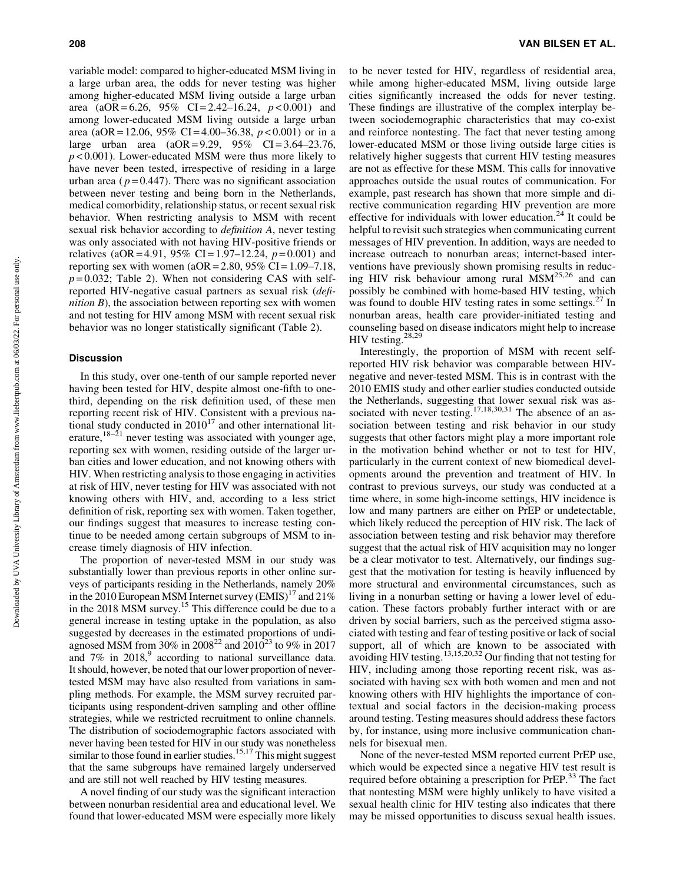variable model: compared to higher-educated MSM living in a large urban area, the odds for never testing was higher among higher-educated MSM living outside a large urban area (aOR = 6.26, 95% CI = 2.42–16.24, *p* < 0.001) and among lower-educated MSM living outside a large urban area (aOR = 12.06, 95% CI = 4.00–36.38, *p* < 0.001) or in a large urban area  $(aOR = 9.29, 95\% \text{ CI} = 3.64-23.76,$ *p* < 0.001). Lower-educated MSM were thus more likely to have never been tested, irrespective of residing in a large urban area ( $p = 0.447$ ). There was no significant association between never testing and being born in the Netherlands, medical comorbidity, relationship status, or recent sexual risk behavior. When restricting analysis to MSM with recent sexual risk behavior according to *definition A*, never testing was only associated with not having HIV-positive friends or relatives (aOR = 4.91, 95% CI = 1.97–12.24, *p* = 0.001) and reporting sex with women ( $aOR = 2.80$ ,  $95\%$  CI = 1.09–7.18,  $p = 0.032$ ; Table 2). When not considering CAS with selfreported HIV-negative casual partners as sexual risk (*definition B*), the association between reporting sex with women and not testing for HIV among MSM with recent sexual risk behavior was no longer statistically significant (Table 2).

#### **Discussion**

In this study, over one-tenth of our sample reported never having been tested for HIV, despite almost one-fifth to onethird, depending on the risk definition used, of these men reporting recent risk of HIV. Consistent with a previous national study conducted in  $2010^{17}$  and other international literature,  $18-21$  never testing was associated with younger age, reporting sex with women, residing outside of the larger urban cities and lower education, and not knowing others with HIV. When restricting analysis to those engaging in activities at risk of HIV, never testing for HIV was associated with not knowing others with HIV, and, according to a less strict definition of risk, reporting sex with women. Taken together, our findings suggest that measures to increase testing continue to be needed among certain subgroups of MSM to increase timely diagnosis of HIV infection.

The proportion of never-tested MSM in our study was substantially lower than previous reports in other online surveys of participants residing in the Netherlands, namely 20% in the 2010 European MSM Internet survey  $(BMIS)^{17}$  and 21% in the 2018 MSM survey.<sup>15</sup> This difference could be due to a general increase in testing uptake in the population, as also suggested by decreases in the estimated proportions of undiagnosed MSM from 30% in 2008<sup>22</sup> and 2010<sup>23</sup> to 9% in 2017 and  $7\%$  in  $2018$ , according to national surveillance data. It should, however, be noted that our lower proportion of nevertested MSM may have also resulted from variations in sampling methods. For example, the MSM survey recruited participants using respondent-driven sampling and other offline strategies, while we restricted recruitment to online channels. The distribution of sociodemographic factors associated with never having been tested for HIV in our study was nonetheless similar to those found in earlier studies.<sup>15,17</sup> This might suggest that the same subgroups have remained largely underserved and are still not well reached by HIV testing measures.

A novel finding of our study was the significant interaction between nonurban residential area and educational level. We found that lower-educated MSM were especially more likely to be never tested for HIV, regardless of residential area, while among higher-educated MSM, living outside large cities significantly increased the odds for never testing. These findings are illustrative of the complex interplay between sociodemographic characteristics that may co-exist and reinforce nontesting. The fact that never testing among lower-educated MSM or those living outside large cities is relatively higher suggests that current HIV testing measures are not as effective for these MSM. This calls for innovative approaches outside the usual routes of communication. For example, past research has shown that more simple and directive communication regarding HIV prevention are more effective for individuals with lower education.<sup>24</sup> It could be helpful to revisit such strategies when communicating current messages of HIV prevention. In addition, ways are needed to increase outreach to nonurban areas; internet-based interventions have previously shown promising results in reducing HIV risk behaviour among rural  $\overline{MSM}^{25,26}$  and can possibly be combined with home-based HIV testing, which was found to double HIV testing rates in some settings. $27$  In nonurban areas, health care provider-initiated testing and counseling based on disease indicators might help to increase HIV testing.<sup>28,29</sup>

Interestingly, the proportion of MSM with recent selfreported HIV risk behavior was comparable between HIVnegative and never-tested MSM. This is in contrast with the 2010 EMIS study and other earlier studies conducted outside the Netherlands, suggesting that lower sexual risk was associated with never testing.<sup>17,18,30,31</sup> The absence of an association between testing and risk behavior in our study suggests that other factors might play a more important role in the motivation behind whether or not to test for HIV, particularly in the current context of new biomedical developments around the prevention and treatment of HIV. In contrast to previous surveys, our study was conducted at a time where, in some high-income settings, HIV incidence is low and many partners are either on PrEP or undetectable, which likely reduced the perception of HIV risk. The lack of association between testing and risk behavior may therefore suggest that the actual risk of HIV acquisition may no longer be a clear motivator to test. Alternatively, our findings suggest that the motivation for testing is heavily influenced by more structural and environmental circumstances, such as living in a nonurban setting or having a lower level of education. These factors probably further interact with or are driven by social barriers, such as the perceived stigma associated with testing and fear of testing positive or lack of social support, all of which are known to be associated with avoiding HIV testing.13,15,20,32 Our finding that not testing for HIV, including among those reporting recent risk, was associated with having sex with both women and men and not knowing others with HIV highlights the importance of contextual and social factors in the decision-making process around testing. Testing measures should address these factors by, for instance, using more inclusive communication channels for bisexual men.

None of the never-tested MSM reported current PrEP use, which would be expected since a negative HIV test result is required before obtaining a prescription for PrEP.<sup>33</sup> The fact that nontesting MSM were highly unlikely to have visited a sexual health clinic for HIV testing also indicates that there may be missed opportunities to discuss sexual health issues.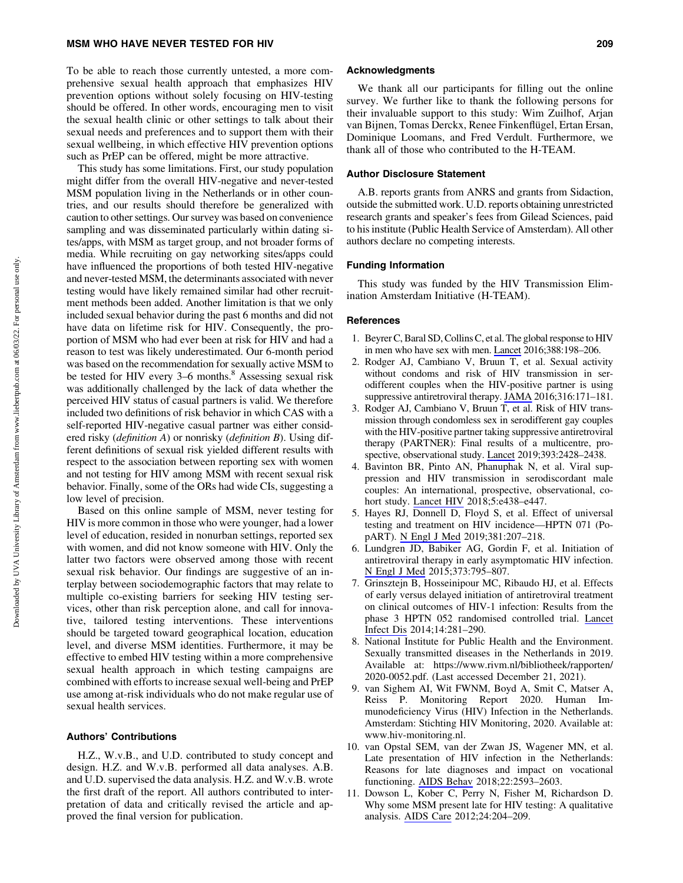#### MSM WHO HAVE NEVER TESTED FOR HIV 209

To be able to reach those currently untested, a more comprehensive sexual health approach that emphasizes HIV prevention options without solely focusing on HIV-testing should be offered. In other words, encouraging men to visit the sexual health clinic or other settings to talk about their sexual needs and preferences and to support them with their sexual wellbeing, in which effective HIV prevention options such as PrEP can be offered, might be more attractive.

This study has some limitations. First, our study population might differ from the overall HIV-negative and never-tested MSM population living in the Netherlands or in other countries, and our results should therefore be generalized with caution to other settings. Our survey was based on convenience sampling and was disseminated particularly within dating sites/apps, with MSM as target group, and not broader forms of media. While recruiting on gay networking sites/apps could have influenced the proportions of both tested HIV-negative and never-tested MSM, the determinants associated with never testing would have likely remained similar had other recruitment methods been added. Another limitation is that we only included sexual behavior during the past 6 months and did not have data on lifetime risk for HIV. Consequently, the proportion of MSM who had ever been at risk for HIV and had a reason to test was likely underestimated. Our 6-month period was based on the recommendation for sexually active MSM to be tested for HIV every 3–6 months.<sup>8</sup> Assessing sexual risk was additionally challenged by the lack of data whether the perceived HIV status of casual partners is valid. We therefore included two definitions of risk behavior in which CAS with a self-reported HIV-negative casual partner was either considered risky (*definition A*) or nonrisky (*definition B*). Using different definitions of sexual risk yielded different results with respect to the association between reporting sex with women and not testing for HIV among MSM with recent sexual risk behavior. Finally, some of the ORs had wide CIs, suggesting a low level of precision.

Based on this online sample of MSM, never testing for HIV is more common in those who were younger, had a lower level of education, resided in nonurban settings, reported sex with women, and did not know someone with HIV. Only the latter two factors were observed among those with recent sexual risk behavior. Our findings are suggestive of an interplay between sociodemographic factors that may relate to multiple co-existing barriers for seeking HIV testing services, other than risk perception alone, and call for innovative, tailored testing interventions. These interventions should be targeted toward geographical location, education level, and diverse MSM identities. Furthermore, it may be effective to embed HIV testing within a more comprehensive sexual health approach in which testing campaigns are combined with efforts to increase sexual well-being and PrEP use among at-risk individuals who do not make regular use of sexual health services.

#### Authors' Contributions

H.Z., W.v.B., and U.D. contributed to study concept and design. H.Z. and W.v.B. performed all data analyses. A.B. and U.D. supervised the data analysis. H.Z. and W.v.B. wrote the first draft of the report. All authors contributed to interpretation of data and critically revised the article and approved the final version for publication.

#### Acknowledgments

We thank all our participants for filling out the online survey. We further like to thank the following persons for their invaluable support to this study: Wim Zuilhof, Arjan van Bijnen, Tomas Derckx, Renee Finkenflügel, Ertan Ersan, Dominique Loomans, and Fred Verdult. Furthermore, we thank all of those who contributed to the H-TEAM.

#### Author Disclosure Statement

A.B. reports grants from ANRS and grants from Sidaction, outside the submitted work. U.D. reports obtaining unrestricted research grants and speaker's fees from Gilead Sciences, paid to his institute (Public Health Service of Amsterdam). All other authors declare no competing interests.

#### Funding Information

This study was funded by the HIV Transmission Elimination Amsterdam Initiative (H-TEAM).

#### References

- 1. Beyrer C, Baral SD, Collins C, et al. The global response to HIV in men who have sex with men. [Lancet](https://www.liebertpub.com/action/showLinks?pmid=27411880&crossref=10.1016%2FS0140-6736%2816%2930781-4&citationId=p_27) 2016;388:198–206.
- 2. Rodger AJ, Cambiano V, Bruun T, et al. Sexual activity without condoms and risk of HIV transmission in serodifferent couples when the HIV-positive partner is using suppressive antiretroviral therapy. [JAMA](https://www.liebertpub.com/action/showLinks?pmid=27404185&crossref=10.1001%2Fjama.2016.5148&citationId=p_28) 2016;316:171–181.
- 3. Rodger AJ, Cambiano V, Bruun T, et al. Risk of HIV transmission through condomless sex in serodifferent gay couples with the HIV-positive partner taking suppressive antiretroviral therapy (PARTNER): Final results of a multicentre, prospective, observational study. [Lancet](https://www.liebertpub.com/action/showLinks?pmid=31056293&crossref=10.1016%2FS0140-6736%2819%2930418-0&citationId=p_29) 2019;393:2428–2438.
- 4. Bavinton BR, Pinto AN, Phanuphak N, et al. Viral suppression and HIV transmission in serodiscordant male couples: An international, prospective, observational, cohort study. [Lancet HIV](https://www.liebertpub.com/action/showLinks?pmid=30025681&crossref=10.1016%2FS2352-3018%2818%2930132-2&citationId=p_30) 2018;5:e438–e447.
- 5. Hayes RJ, Donnell D, Floyd S, et al. Effect of universal testing and treatment on HIV incidence—HPTN 071 (PopART). [N Engl J Med](https://www.liebertpub.com/action/showLinks?pmid=31314965&crossref=10.1056%2FNEJMoa1814556&citationId=p_31) 2019;381:207–218.
- 6. Lundgren JD, Babiker AG, Gordin F, et al. Initiation of antiretroviral therapy in early asymptomatic HIV infection. [N Engl J Med](https://www.liebertpub.com/action/showLinks?pmid=26192873&crossref=10.1056%2FNEJMoa1506816&citationId=p_32) 2015;373:795–807.
- 7. Grinsztejn B, Hosseinipour MC, Ribaudo HJ, et al. Effects of early versus delayed initiation of antiretroviral treatment on clinical outcomes of HIV-1 infection: Results from the phase 3 HPTN 052 randomised controlled trial. [Lancet](https://www.liebertpub.com/action/showLinks?pmid=24602844&crossref=10.1016%2FS1473-3099%2813%2970692-3&citationId=p_33) [Infect Dis](https://www.liebertpub.com/action/showLinks?pmid=24602844&crossref=10.1016%2FS1473-3099%2813%2970692-3&citationId=p_33) 2014;14:281–290.
- 8. National Institute for Public Health and the Environment. Sexually transmitted diseases in the Netherlands in 2019. Available at: [https://www.rivm.nl/bibliotheek/rapporten/](https://www.rivm.nl/bibliotheek/rapporten/2020-0052.pdf) [2020-0052.pdf](https://www.rivm.nl/bibliotheek/rapporten/2020-0052.pdf). (Last accessed December 21, 2021).
- 9. van Sighem AI, Wit FWNM, Boyd A, Smit C, Matser A, Reiss P. Monitoring Report 2020. Human Immunodeficiency Virus (HIV) Infection in the Netherlands. Amsterdam: Stichting HIV Monitoring, 2020. Available at: [www.hiv-monitoring.nl.](http://www.hiv-monitoring.nl)
- 10. van Opstal SEM, van der Zwan JS, Wagener MN, et al. Late presentation of HIV infection in the Netherlands: Reasons for late diagnoses and impact on vocational functioning. [AIDS Behav](https://www.liebertpub.com/action/showLinks?pmid=29550940&crossref=10.1007%2Fs10461-018-2082-9&citationId=p_36) 2018;22:2593–2603.
- 11. Dowson L, Kober C, Perry N, Fisher M, Richardson D. Why some MSM present late for HIV testing: A qualitative analysis. [AIDS Care](https://www.liebertpub.com/action/showLinks?pmid=21780956&crossref=10.1080%2F09540121.2011.597711&citationId=p_37) 2012;24:204–209.